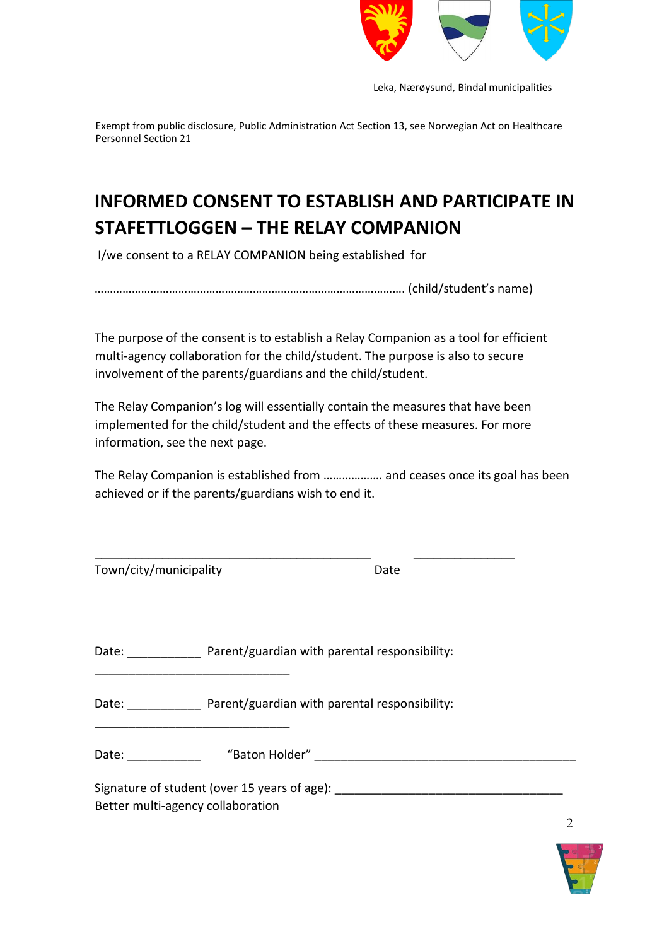

Leka, Nærøysund, Bindal municipalities

Exempt from public disclosure, Public Administration Act Section 13, see Norwegian Act on Healthcare Personnel Section 21

# **INFORMED CONSENT TO ESTABLISH AND PARTICIPATE IN STAFETTLOGGEN – THE RELAY COMPANION**

I/we consent to a RELAY COMPANION being established for

………………………………………………………………………………………. (child/student's name)

The purpose of the consent is to establish a Relay Companion as a tool for efficient multi-agency collaboration for the child/student. The purpose is also to secure involvement of the parents/guardians and the child/student.

The Relay Companion's log will essentially contain the measures that have been implemented for the child/student and the effects of these measures. For more information, see the next page.

\_\_\_\_\_\_\_\_\_\_\_\_\_\_\_\_\_\_\_\_\_\_\_\_\_\_\_\_\_\_\_\_\_\_\_\_\_\_\_\_\_ \_\_\_\_\_\_\_\_\_\_\_\_\_\_\_

The Relay Companion is established from ………………. and ceases once its goal has been achieved or if the parents/guardians wish to end it.

| Town/city/municipality | Date |
|------------------------|------|
|                        |      |

\_\_\_\_\_\_\_\_\_\_\_\_\_\_\_\_\_\_\_\_\_\_\_\_\_\_\_\_\_

\_\_\_\_\_\_\_\_\_\_\_\_\_\_\_\_\_\_\_\_\_\_\_\_\_\_\_\_\_

Date: Parent/guardian with parental responsibility:

Date: \_\_\_\_\_\_\_\_\_\_\_\_\_ Parent/guardian with parental responsibility:

Date: \_\_\_\_\_\_\_\_\_\_\_ "Baton Holder" \_\_\_\_\_\_\_\_\_\_\_\_\_\_\_\_\_\_\_\_\_\_\_\_\_\_\_\_\_\_\_\_\_\_\_\_\_\_\_

Signature of student (over 15 years of age): Better multi-agency collaboration

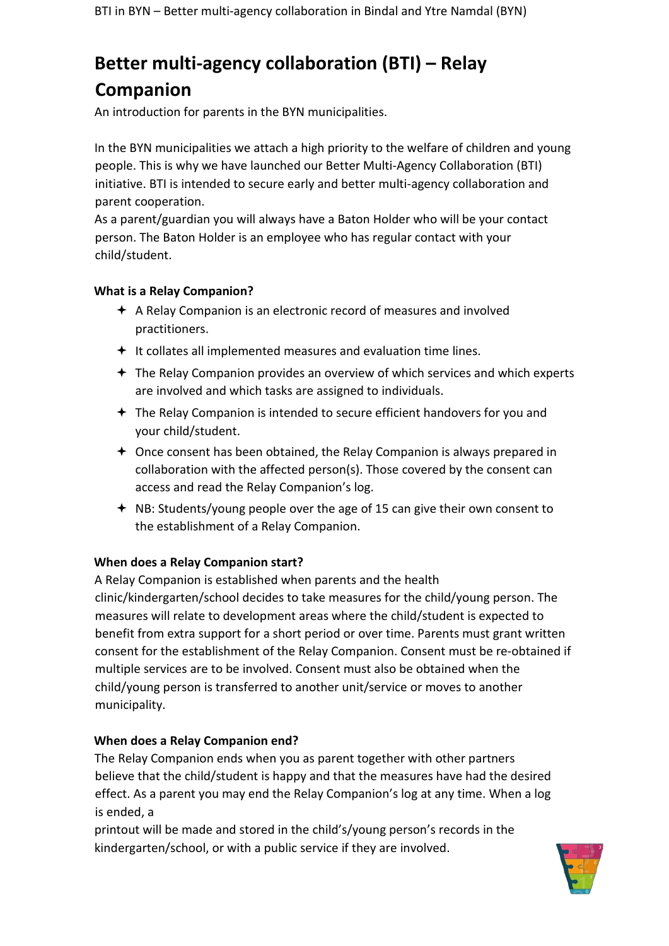# **Better multi-agency collaboration (BTI) – Relay Companion**

An introduction for parents in the BYN municipalities.

In the BYN municipalities we attach a high priority to the welfare of children and young people. This is why we have launched our Better Multi-Agency Collaboration (BTI) initiative. BTI is intended to secure early and better multi-agency collaboration and parent cooperation.

As a parent/guardian you will always have a Baton Holder who will be your contact person. The Baton Holder is an employee who has regular contact with your child/student.

#### **What is a Relay Companion?**

- $\triangle$  A Relay Companion is an electronic record of measures and involved practitioners.
- $+$  It collates all implemented measures and evaluation time lines.
- The Relay Companion provides an overview of which services and which experts are involved and which tasks are assigned to individuals.
- $\triangleq$  The Relay Companion is intended to secure efficient handovers for you and your child/student.
- Once consent has been obtained, the Relay Companion is always prepared in collaboration with the affected person(s). Those covered by the consent can access and read the Relay Companion's log.
- **← NB: Students/young people over the age of 15 can give their own consent to** the establishment of a Relay Companion.

### **When does a Relay Companion start?**

A Relay Companion is established when parents and the health clinic/kindergarten/school decides to take measures for the child/young person. The measures will relate to development areas where the child/student is expected to benefit from extra support for a short period or over time. Parents must grant written consent for the establishment of the Relay Companion. Consent must be re-obtained if multiple services are to be involved. Consent must also be obtained when the child/young person is transferred to another unit/service or moves to another municipality.

### **When does a Relay Companion end?**

The Relay Companion ends when you as parent together with other partners believe that the child/student is happy and that the measures have had the desired effect. As a parent you may end the Relay Companion's log at any time. When a log is ended, a

printout will be made and stored in the child's/young person's records in the kindergarten/school, or with a public service if they are involved.

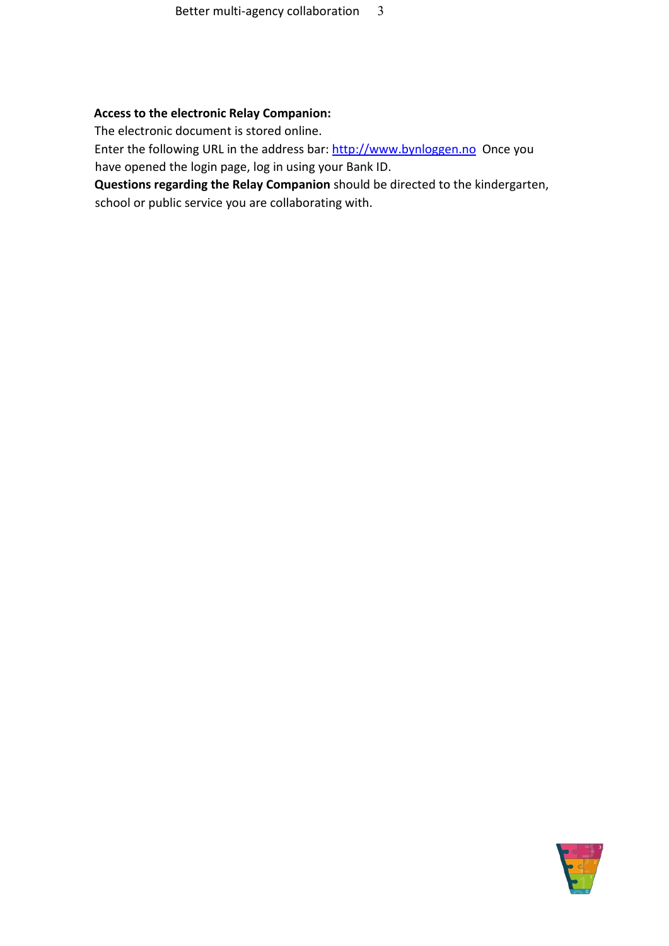#### **Access to the electronic Relay Companion:**

The electronic document is stored online.

Enter the following URL in the address bar: [http://www.bynloggen.no O](http://www.bynloggen.no/)nce you have opened the login page, log in using your Bank ID.

**Questions regarding the Relay Companion** should be directed to the kindergarten, school or public service you are collaborating with.